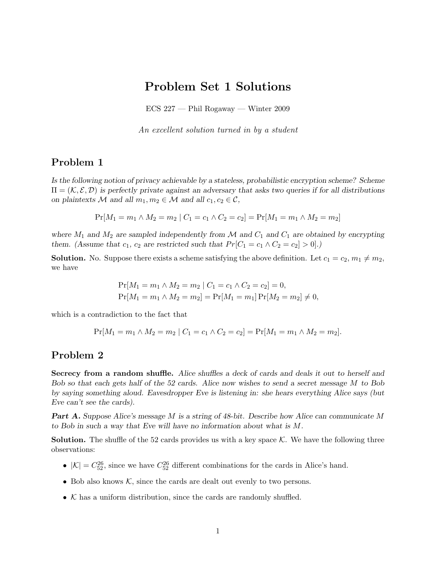## Problem Set 1 Solutions

ECS 227 — Phil Rogaway — Winter 2009

An excellent solution turned in by a student

## Problem 1

Is the following notion of privacy achievable by a stateless, probabilistic encryption scheme? Scheme  $\Pi = (\mathcal{K}, \mathcal{E}, \mathcal{D})$  is perfectly private against an adversary that asks two queries if for all distributions on plaintexts M and all  $m_1, m_2 \in M$  and all  $c_1, c_2 \in \mathcal{C}$ ,

$$
Pr[M_1 = m_1 \land M_2 = m_2 | C_1 = c_1 \land C_2 = c_2] = Pr[M_1 = m_1 \land M_2 = m_2]
$$

where  $M_1$  and  $M_2$  are sampled independently from M and  $C_1$  and  $C_1$  are obtained by encrypting them. (Assume that  $c_1$ ,  $c_2$  are restricted such that  $Pr[C_1 = c_1 \land C_2 = c_2] > 0].$ )

**Solution.** No. Suppose there exists a scheme satisfying the above definition. Let  $c_1 = c_2, m_1 \neq m_2$ , we have

$$
Pr[M_1 = m_1 \land M_2 = m_2 | C_1 = c_1 \land C_2 = c_2] = 0,
$$
  
\n
$$
Pr[M_1 = m_1 \land M_2 = m_2] = Pr[M_1 = m_1] Pr[M_2 = m_2] \neq 0,
$$

which is a contradiction to the fact that

$$
Pr[M_1 = m_1 \land M_2 = m_2 | C_1 = c_1 \land C_2 = c_2] = Pr[M_1 = m_1 \land M_2 = m_2].
$$

## Problem 2

Secrecy from a random shuffle. Alice shuffles a deck of cards and deals it out to herself and Bob so that each gets half of the 52 cards. Alice now wishes to send a secret message M to Bob by saying something aloud. Eavesdropper Eve is listening in: she hears everything Alice says (but Eve can't see the cards).

Part A. Suppose Alice's message M is a string of 48-bit. Describe how Alice can communicate M to Bob in such a way that Eve will have no information about what is M.

**Solution.** The shuffle of the 52 cards provides us with a key space  $K$ . We have the following three observations:

- $|\mathcal{K}| = C_{52}^{26}$ , since we have  $C_{52}^{26}$  different combinations for the cards in Alice's hand.
- Bob also knows  $K$ , since the cards are dealt out evenly to two persons.
- $K$  has a uniform distribution, since the cards are randomly shuffled.